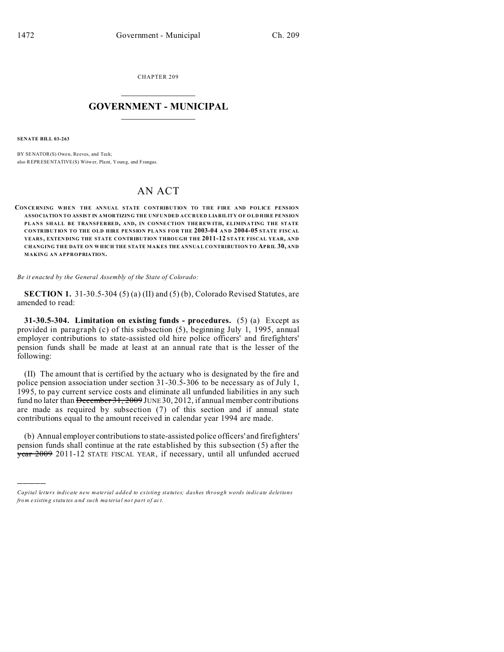CHAPTER 209  $\overline{\phantom{a}}$  , where  $\overline{\phantom{a}}$ 

## **GOVERNMENT - MUNICIPAL**  $\_$

**SENATE BILL 03-263**

)))))

BY SENATOR(S) Owen, Reeves, and Teck; also REPRESENTATIVE(S) Witwer, Plant, Youn g, and Frangas.

## AN ACT

**CON CE RNING WHEN THE ANNUAL STATE CONTRIBUTION TO THE FIRE AND POLICE PENSION ASSOCIATION TO ASSIST IN AMORTIZING THE UNFUNDED ACCRUED LIABILITY OF OLD HIRE PENSION PLANS SHALL BE TRANSFERRED, AND, IN CONNE CTION THE REW ITH, ELIMINATING THE STATE CONTRIBUTION TO THE OLD HIRE PENSION PLANS FOR THE 2003-04 AND 2004-05 STATE FISCAL YEARS, EXTEN DING THE STATE CONTRIBUTION THROUGH THE 2011-12 STATE FISCAL YEAR, AND CHANGING THE DATE ON WHICH THE STATE MAKES THE ANNUA L CONTRIBUTION TO APRIL 30, AND MAKING AN APPROPRIATION.**

*Be it enacted by the General Assembly of the State of Colorado:*

**SECTION 1.** 31-30.5-304 (5) (a) (II) and (5) (b), Colorado Revised Statutes, are amended to read:

**31-30.5-304. Limitation on existing funds - procedures.** (5) (a) Except as provided in paragraph (c) of this subsection (5), beginning July 1, 1995, annual employer contributions to state-assisted old hire police officers' and firefighters' pension funds shall be made at least at an annual rate that is the lesser of the following:

(II) The amount that is certified by the actuary who is designated by the fire and police pension association under section 31-30.5-306 to be necessary as of July 1, 1995, to pay current service costs and eliminate all unfunded liabilities in any such fund no later than December 31, 2009 JUNE 30, 2012, if annual member contributions are made as required by subsection (7) of this section and if annual state contributions equal to the amount received in calendar year 1994 are made.

(b) Annual employer contributions to state-assisted police officers' and firefighters' pension funds shall continue at the rate established by this subsection (5) after the year 2009 2011-12 STATE FISCAL YEAR, if necessary, until all unfunded accrued

*Capital letters indicate new material added to existing statutes; dashes through words indicate deletions from e xistin g statu tes a nd such ma teria l no t pa rt of ac t.*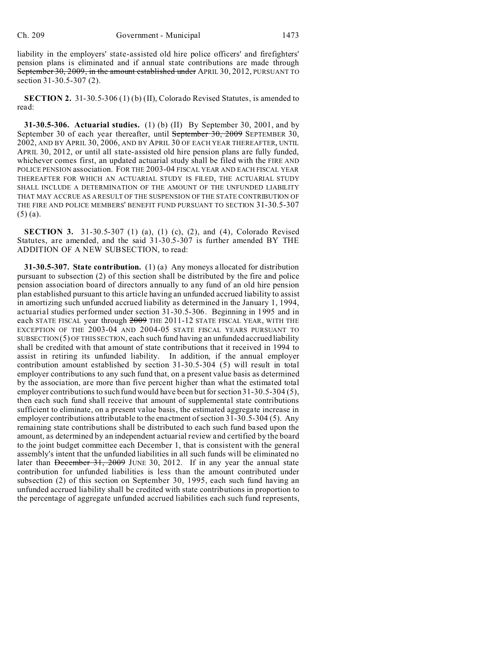liability in the employers' state-assisted old hire police officers' and firefighters' pension plans is eliminated and if annual state contributions are made through September 30, 2009, in the amount established under APRIL 30, 2012, PURSUANT TO section 31-30.5-307 (2).

**SECTION 2.** 31-30.5-306 (1) (b) (II), Colorado Revised Statutes, is amended to read:

**31-30.5-306. Actuarial studies.** (1) (b) (II) By September 30, 2001, and by September 30 of each year thereafter, until September 30, 2009 SEPTEMBER 30, 2002, AND BY APRIL 30, 2006, AND BY APRIL 30 OF EACH YEAR THEREAFTER, UNTIL APRIL 30, 2012, or until all state-assisted old hire pension plans are fully funded, whichever comes first, an updated actuarial study shall be filed with the FIRE AND POLICE PENSION association. FOR THE 2003-04 FISCAL YEAR AND EACH FISCAL YEAR THEREAFTER FOR WHICH AN ACTUARIAL STUDY IS FILED, THE ACTUARIAL STUDY SHALL INCLUDE A DETERMINATION OF THE AMOUNT OF THE UNFUNDED LIABILITY THAT MAY ACCRUE AS A RESULT OF THE SUSPENSION OF THE STATE CONTRIBUTION OF THE FIRE AND POLICE MEMBERS' BENEFIT FUND PURSUANT TO SECTION 31-30.5-307 (5) (a).

**SECTION 3.** 31-30.5-307 (1) (a), (1) (c), (2), and (4), Colorado Revised Statutes, are amended, and the said 31-30.5-307 is further amended BY THE ADDITION OF A NEW SUBSECTION, to read:

**31-30.5-307. State contribution.** (1) (a) Any moneys allocated for distribution pursuant to subsection (2) of this section shall be distributed by the fire and police pension association board of directors annually to any fund of an old hire pension plan established pursuant to this article having an unfunded accrued liability to assist in amortizing such unfunded accrued liability as determined in the January 1, 1994, actuarial studies performed under section 31-30.5-306. Beginning in 1995 and in each STATE FISCAL year through  $2009$  THE 2011-12 STATE FISCAL YEAR, WITH THE EXCEPTION OF THE 2003-04 AND 2004-05 STATE FISCAL YEARS PURSUANT TO  $SUBSECTION(5)$  OF THIS SECTION, each such fund having an unfunded accrued liability shall be credited with that amount of state contributions that it received in 1994 to assist in retiring its unfunded liability. In addition, if the annual employer contribution amount established by section 31-30.5-304 (5) will result in total employer contributions to any such fund that, on a present value basis as determined by the association, are more than five percent higher than what the estimated total employer contributions to such fund would have been but for section 31-30.5-304 (5), then each such fund shall receive that amount of supplemental state contributions sufficient to eliminate, on a present value basis, the estimated aggregate increase in employer contributions attributable to the enactment of section 31-30.5-304 (5). Any remaining state contributions shall be distributed to each such fund based upon the amount, as determined by an independent actuarial review and certified by the board to the joint budget committee each December 1, that is consistent with the general assembly's intent that the unfunded liabilities in all such funds will be eliminated no later than December 31, 2009 JUNE 30, 2012. If in any year the annual state contribution for unfunded liabilities is less than the amount contributed under subsection (2) of this section on September 30, 1995, each such fund having an unfunded accrued liability shall be credited with state contributions in proportion to the percentage of aggregate unfunded accrued liabilities each such fund represents,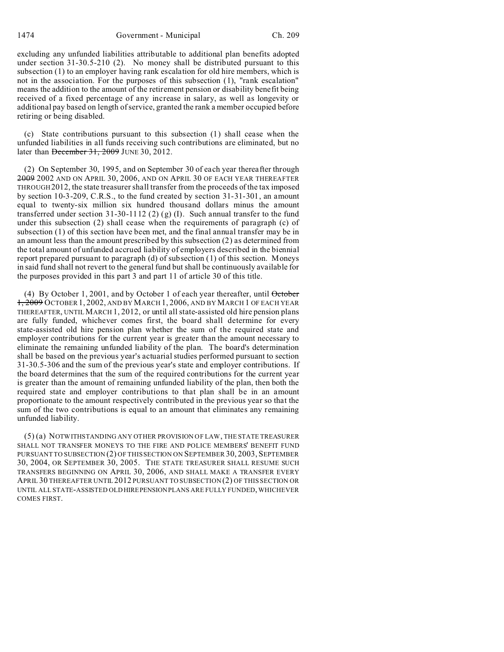excluding any unfunded liabilities attributable to additional plan benefits adopted under section 31-30.5-210 (2). No money shall be distributed pursuant to this subsection (1) to an employer having rank escalation for old hire members, which is not in the association. For the purposes of this subsection (1), "rank escalation" means the addition to the amount of the retirement pension or disability benefit being received of a fixed percentage of any increase in salary, as well as longevity or additional pay based on length of service, granted the rank a member occupied before retiring or being disabled.

(c) State contributions pursuant to this subsection (1) shall cease when the unfunded liabilities in all funds receiving such contributions are eliminated, but no later than <del>December 31, 2009</del> JUNE 30, 2012.

(2) On September 30, 1995, and on September 30 of each year thereafter through 2009 2002 AND ON APRIL 30, 2006, AND ON APRIL 30 OF EACH YEAR THEREAFTER THROUGH2012, the state treasurer shall transfer from the proceeds of the tax imposed by section 10-3-209, C.R.S., to the fund created by section 31-31-301, an amount equal to twenty-six million six hundred thousand dollars minus the amount transferred under section 31-30-1112 (2) (g) (I). Such annual transfer to the fund under this subsection (2) shall cease when the requirements of paragraph (c) of subsection (1) of this section have been met, and the final annual transfer may be in an amount less than the amount prescribed by this subsection (2) as determined from the total amount of unfunded accrued liability of employers described in the biennial report prepared pursuant to paragraph (d) of subsection (1) of this section. Moneys in said fund shall not revert to the general fund but shall be continuously available for the purposes provided in this part 3 and part 11 of article 30 of this title.

(4) By October 1, 2001, and by October 1 of each year thereafter, until October 1, 2009 OCTOBER 1, 2002, AND BY MARCH 1, 2006, AND BY MARCH 1 OF EACH YEAR THEREAFTER, UNTIL MARCH 1, 2012, or until all state-assisted old hire pension plans are fully funded, whichever comes first, the board shall determine for every state-assisted old hire pension plan whether the sum of the required state and employer contributions for the current year is greater than the amount necessary to eliminate the remaining unfunded liability of the plan. The board's determination shall be based on the previous year's actuarial studies performed pursuant to section 31-30.5-306 and the sum of the previous year's state and employer contributions. If the board determines that the sum of the required contributions for the current year is greater than the amount of remaining unfunded liability of the plan, then both the required state and employer contributions to that plan shall be in an amount proportionate to the amount respectively contributed in the previous year so that the sum of the two contributions is equal to an amount that eliminates any remaining unfunded liability.

(5) (a) NOTWITHSTANDING ANY OTHER PROVISION OF LAW, THE STATE TREASURER SHALL NOT TRANSFER MONEYS TO THE FIRE AND POLICE MEMBERS' BENEFIT FUND PURSUANT TO SUBSECTION (2) OF THIS SECTION ON SEPTEMBER 30, 2003, SEPTEMBER 30, 2004, OR SEPTEMBER 30, 2005. THE STATE TREASURER SHALL RESUME SUCH TRANSFERS BEGINNING ON APRIL 30, 2006, AND SHALL MAKE A TRANSFER EVERY APRIL 30 THEREAFTER UNTIL 2012 PURSUANT TO SUBSECTION (2) OF THIS SECTION OR UNTIL ALL STATE-ASSISTED OLD HIREPENSION PLANS ARE FULLY FUNDED, WHICHEVER COMES FIRST.